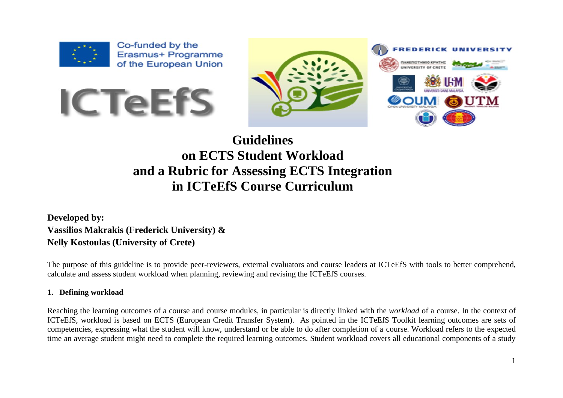

Co-funded by the Erasmus+ Programme of the European Union





# **Guidelines on ECTS Student Workload and a Rubric for Assessing ECTS Integration in ICTeEfS Course Curriculum**

**Developed by: Vassilios Makrakis (Frederick University) & Nelly Kostoulas (University of Crete)**

The purpose of this guideline is to provide peer-reviewers, external evaluators and course leaders at ICTeEfS with tools to better comprehend, calculate and assess student workload when planning, reviewing and revising the ICTeEfS courses.

### **1. Defining workload**

Reaching the learning outcomes of a course and course modules, in particular is directly linked with the *workload* of a course. In the context of ICTeEfS, workload is based on ECTS (European Credit Transfer System). As pointed in the ICTeEfS Toolkit learning outcomes are sets of competencies, expressing what the student will know, understand or be able to do after completion of a course. Workload refers to the expected time an average student might need to complete the required learning outcomes. Student workload covers all educational components of a study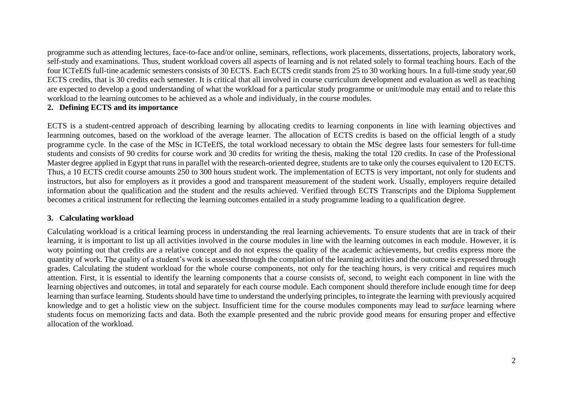programme such as attending lectures, face-to-face and/or online, seminars, reflections, work placements, dissertations, projects, laboratory work, self-study and examinations. Thus, student workload covers all aspects of learning and is not related solely to formal teaching hours. Each of the four ICTeEfS full-tine academic semesters consists of 30 ECTS. Each ECTS credit stands from 25 to 30 working hours. In a full-time study year,60 ECTS credits, that is 30 credits each semester. It is critical that all involved in course curriculum development and evaluation as well as teaching are expected to develop a good understanding of what the workload for a particular study programme or unit/module may entail and to relate this workload to the learning outcomes to be achieved as a whole and individualy, in the course modules.

#### **2. Defining ECTS and its importance**

ECTS is a student-centred approach of describing learning by allocating credits to learning conponents in line with learning objectives and learmning outcomes, based on the workload of the average learner. The allocation of ECTS credits is based on the official length of a study programme cycle. In the case of the MSc in ICTeEfS, the total workload necessary to obtain the MSc degree lasts four semesters for full-time students and consists of 90 credits for course work and 30 credits for writing the thesis, making the total 120 credits. In case of the Professional Master degree applied in Egypt that runs in parallel with the research-oriented degree, students are to take only the courses equivalent to 120 ECTS. Thus, a 10 ECTS credit course amounts 250 to 300 hours student work. The implementation of ECTS is very important, not only for students and instructors, but also for employers as it provides a good and transparent measurement of the student work. Usually, employers require detailed information about the qualification and the student and the results achieved. Verified through ECTS Transcripts and the Diploma Supplement becomes a critical instrument for reflecting the learning outcomes entailed in a study programme leading to a qualification degree.

#### **3. Calculating workload**

Calculating workload is a critical learning process in understanding the real learning achievements. To ensure students that are in track of their learning, it is important to list up all activities involved in the course modules in line with the learning outcomes in each module. However, it is woty pointing out that credits are a relative concept and do not express the quality of the academic achievements, but credits express more the quantity of work. The quality of a student's work is assessed through the complation of the learning activities and the outcome is expressed through grades. Calculating the student workload for the whole course components, not only for the teaching hours, is very critical and requires much attention. First, it is essential to identify the learning components that a course consists of, second, to weight each component in line with the learning objectives and outcomes, in total and separately for each course module. Each component should therefore include enough time for deep learning than surface learning. Students should have time to understand the underlying principles, to integrate the learning with previously acquired knowledge and to get a holistic view on the subject. Insufficient time for the course modules components may lead to *surface* learning where students focus on memorizing facts and data. Both the example presented and the rubric provide good means for ensuring proper and effective allocation of the workload.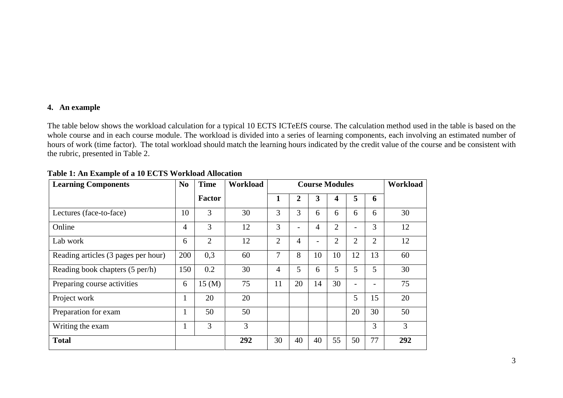#### **4. An example**

The table below shows the workload calculation for a typical 10 ECTS ICTeEfS course. The calculation method used in the table is based on the whole course and in each course module. The workload is divided into a series of learning components, each involving an estimated number of hours of work (time factor). The total workload should match the learning hours indicated by the credit value of the course and be consistent with the rubric, presented in Table 2.

| <b>Learning Components</b>          | N <sub>0</sub> | <b>Time</b>      | Workload | <b>Course Modules</b> |    |                |                | Workload                 |                |     |
|-------------------------------------|----------------|------------------|----------|-----------------------|----|----------------|----------------|--------------------------|----------------|-----|
|                                     |                | <b>Factor</b>    |          | 1                     | 2  | 3              | 4              | 5                        | 6              |     |
| Lectures (face-to-face)             | 10             | 3                | 30       | 3                     | 3  | 6              | 6              | 6                        | 6              | 30  |
| Online                              | $\overline{4}$ | 3                | 12       | 3                     |    | $\overline{4}$ | $\overline{2}$ | $\overline{a}$           | 3              | 12  |
| Lab work                            | 6              | 2                | 12       | $\overline{2}$        | 4  |                | $\overline{2}$ | $\overline{2}$           | $\overline{2}$ | 12  |
| Reading articles (3 pages per hour) | 200            | 0,3              | 60       | $\overline{7}$        | 8  | 10             | 10             | 12                       | 13             | 60  |
| Reading book chapters (5 per/h)     | 150            | 0.2              | 30       | 4                     | 5  | 6              | 5              | 5                        | 5              | 30  |
| Preparing course activities         | 6              | $15 \text{ (M)}$ | 75       | 11                    | 20 | 14             | 30             | $\overline{\phantom{a}}$ |                | 75  |
| Project work                        | 1              | 20               | 20       |                       |    |                |                | 5                        | 15             | 20  |
| Preparation for exam                | $\mathbf{I}$   | 50               | 50       |                       |    |                |                | 20                       | 30             | 50  |
| Writing the exam                    |                | 3                | 3        |                       |    |                |                |                          | 3              | 3   |
| <b>Total</b>                        |                |                  | 292      | 30                    | 40 | 40             | 55             | 50                       | 77             | 292 |

**Table 1: An Example of a 10 ECTS Workload Allocation**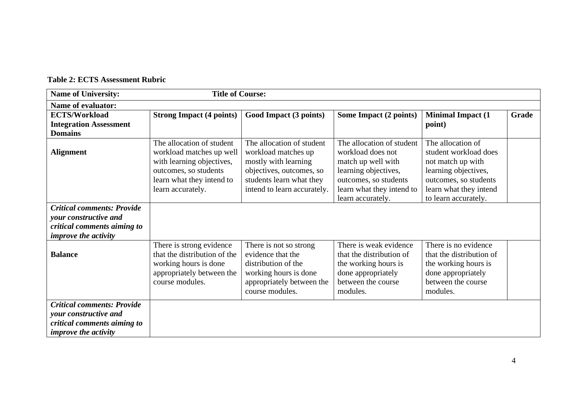| <b>Name of University:</b>                                                                                               | <b>Title of Course:</b>         |                             |                               |                           |       |
|--------------------------------------------------------------------------------------------------------------------------|---------------------------------|-----------------------------|-------------------------------|---------------------------|-------|
| <b>Name of evaluator:</b>                                                                                                |                                 |                             |                               |                           |       |
| <b>ECTS/Workload</b>                                                                                                     | <b>Strong Impact (4 points)</b> | Good Impact (3 points)      | <b>Some Impact (2 points)</b> | <b>Minimal Impact (1)</b> | Grade |
| <b>Integration Assessment</b>                                                                                            |                                 |                             |                               | point)                    |       |
| <b>Domains</b>                                                                                                           |                                 |                             |                               |                           |       |
|                                                                                                                          | The allocation of student       | The allocation of student   | The allocation of student     | The allocation of         |       |
| <b>Alignment</b>                                                                                                         | workload matches up well        | workload matches up         | workload does not             | student workload does     |       |
|                                                                                                                          | with learning objectives,       | mostly with learning        | match up well with            | not match up with         |       |
|                                                                                                                          | outcomes, so students           | objectives, outcomes, so    | learning objectives,          | learning objectives,      |       |
|                                                                                                                          | learn what they intend to       | students learn what they    | outcomes, so students         | outcomes, so students     |       |
|                                                                                                                          | learn accurately.               | intend to learn accurately. | learn what they intend to     | learn what they intend    |       |
|                                                                                                                          |                                 |                             | learn accurately.             | to learn accurately.      |       |
| <b>Critical comments: Provide</b>                                                                                        |                                 |                             |                               |                           |       |
| your constructive and                                                                                                    |                                 |                             |                               |                           |       |
| critical comments aiming to                                                                                              |                                 |                             |                               |                           |       |
| <i>improve the activity</i>                                                                                              |                                 |                             |                               |                           |       |
|                                                                                                                          | There is strong evidence        | There is not so strong      | There is weak evidence        | There is no evidence      |       |
| <b>Balance</b>                                                                                                           | that the distribution of the    | evidence that the           | that the distribution of      | that the distribution of  |       |
|                                                                                                                          | working hours is done           | distribution of the         | the working hours is          | the working hours is      |       |
|                                                                                                                          | appropriately between the       | working hours is done       | done appropriately            | done appropriately        |       |
|                                                                                                                          | course modules.                 | appropriately between the   | between the course            | between the course        |       |
|                                                                                                                          |                                 | course modules.             | modules.                      | modules.                  |       |
| <b>Critical comments: Provide</b><br>your constructive and<br>critical comments aiming to<br><i>improve the activity</i> |                                 |                             |                               |                           |       |

## **Table 2: ECTS Assessment Rubric**